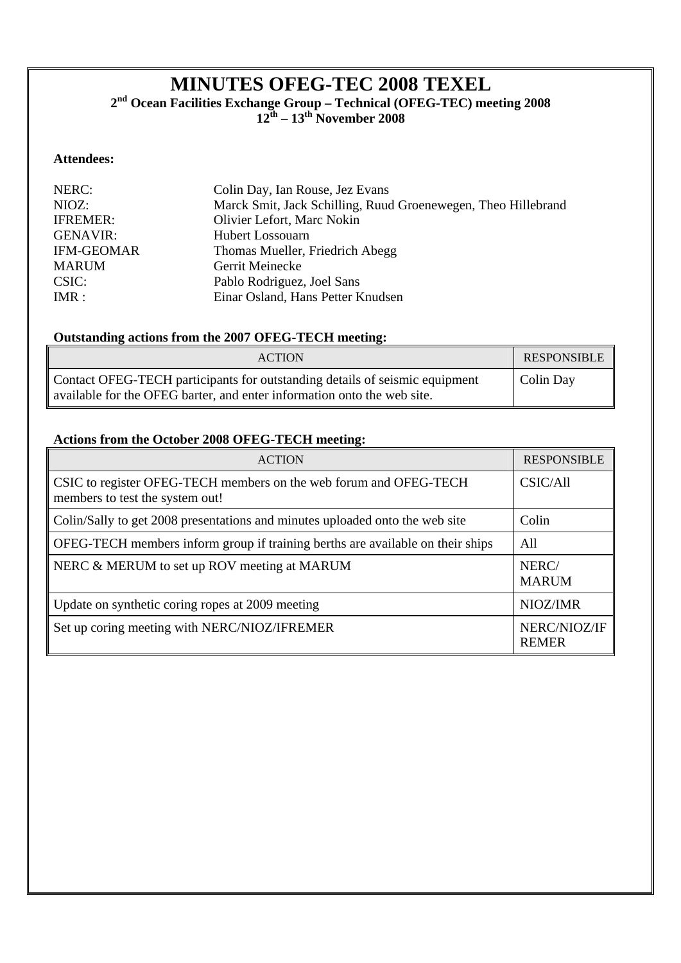# **MINUTES OFEG-TEC 2008 TEXEL**

**2nd Ocean Facilities Exchange Group – Technical (OFEG-TEC) meeting 2008** 

**12th – 13th November 2008** 

# **Attendees:**

| NERC:<br>Colin Day, Ian Rouse, Jez Evans                               |  |
|------------------------------------------------------------------------|--|
| Marck Smit, Jack Schilling, Ruud Groenewegen, Theo Hillebrand<br>NIOZ: |  |
| Olivier Lefort, Marc Nokin<br><b>IFREMER:</b>                          |  |
| <b>GENAVIR:</b><br><b>Hubert Lossouarn</b>                             |  |
| <b>IFM-GEOMAR</b><br>Thomas Mueller, Friedrich Abegg                   |  |
| <b>MARUM</b><br>Gerrit Meinecke                                        |  |
| CSIC:<br>Pablo Rodriguez, Joel Sans                                    |  |
| Einar Osland, Hans Petter Knudsen<br>IMR:                              |  |

# **Outstanding actions from the 2007 OFEG-TECH meeting:**

| <b>ACTION</b>                                                                                                                                          | <b>RESPONSIBLE</b> |
|--------------------------------------------------------------------------------------------------------------------------------------------------------|--------------------|
| Contact OFEG-TECH participants for outstanding details of seismic equipment<br>available for the OFEG barter, and enter information onto the web site. | Colin Day          |

# **Actions from the October 2008 OFEG-TECH meeting:**

| <b>ACTION</b>                                                                                        | <b>RESPONSIBLE</b>           |
|------------------------------------------------------------------------------------------------------|------------------------------|
| CSIC to register OFEG-TECH members on the web forum and OFEG-TECH<br>members to test the system out! | CSIC/All                     |
| Colin/Sally to get 2008 presentations and minutes uploaded onto the web site                         | Colin                        |
| OFEG-TECH members inform group if training berths are available on their ships                       | All                          |
| NERC & MERUM to set up ROV meeting at MARUM                                                          | NERC/<br><b>MARUM</b>        |
| Update on synthetic coring ropes at 2009 meeting                                                     | NIOZ/IMR                     |
| Set up coring meeting with NERC/NIOZ/IFREMER                                                         | NERC/NIOZ/IF<br><b>REMER</b> |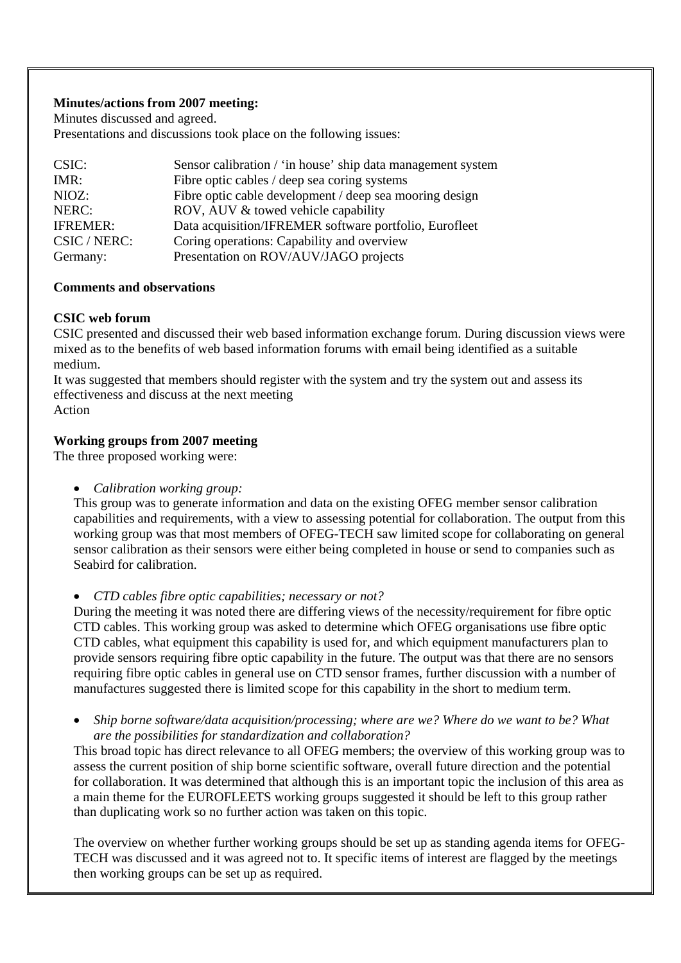## **Minutes/actions from 2007 meeting:**

Minutes discussed and agreed.

Presentations and discussions took place on the following issues:

| CSIC:           | Sensor calibration / 'in house' ship data management system |
|-----------------|-------------------------------------------------------------|
| $IMR$ :         | Fibre optic cables / deep sea coring systems                |
| NIOZ:           | Fibre optic cable development / deep sea mooring design     |
| NERC:           | ROV, AUV & towed vehicle capability                         |
| <b>IFREMER:</b> | Data acquisition/IFREMER software portfolio, Eurofleet      |
| CSIC / NERC:    | Coring operations: Capability and overview                  |
| Germany:        | Presentation on ROV/AUV/JAGO projects                       |

## **Comments and observations**

## **CSIC web forum**

CSIC presented and discussed their web based information exchange forum. During discussion views were mixed as to the benefits of web based information forums with email being identified as a suitable medium.

It was suggested that members should register with the system and try the system out and assess its effectiveness and discuss at the next meeting

Action

## **Working groups from 2007 meeting**

The three proposed working were:

*Calibration working group:* 

This group was to generate information and data on the existing OFEG member sensor calibration capabilities and requirements, with a view to assessing potential for collaboration. The output from this working group was that most members of OFEG-TECH saw limited scope for collaborating on general sensor calibration as their sensors were either being completed in house or send to companies such as Seabird for calibration.

*CTD cables fibre optic capabilities; necessary or not?* 

During the meeting it was noted there are differing views of the necessity/requirement for fibre optic CTD cables. This working group was asked to determine which OFEG organisations use fibre optic CTD cables, what equipment this capability is used for, and which equipment manufacturers plan to provide sensors requiring fibre optic capability in the future. The output was that there are no sensors requiring fibre optic cables in general use on CTD sensor frames, further discussion with a number of manufactures suggested there is limited scope for this capability in the short to medium term.

 *Ship borne software/data acquisition/processing; where are we? Where do we want to be? What are the possibilities for standardization and collaboration?* 

This broad topic has direct relevance to all OFEG members; the overview of this working group was to assess the current position of ship borne scientific software, overall future direction and the potential for collaboration. It was determined that although this is an important topic the inclusion of this area as a main theme for the EUROFLEETS working groups suggested it should be left to this group rather than duplicating work so no further action was taken on this topic.

The overview on whether further working groups should be set up as standing agenda items for OFEG-TECH was discussed and it was agreed not to. It specific items of interest are flagged by the meetings then working groups can be set up as required.